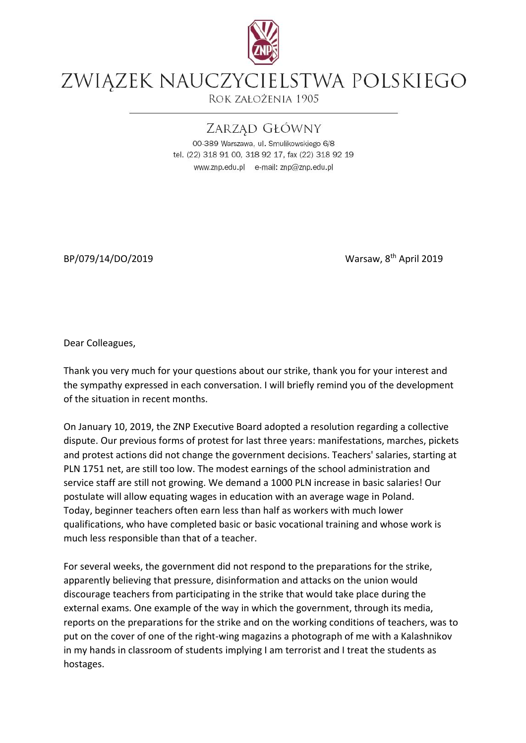

## ZWIĄZEK NAUCZYCIELSTWA POLSKIEGO

ROK ZAŁOŻENIA 1905

## ZARZAD GŁÓWNY

00-389 Warszawa, ul. Smulikowskiego 6/8 tel. (22) 318 91 00, 318 92 17, fax (22) 318 92 19 www.znp.edu.pl e-mail: znp@znp.edu.pl

BP/079/14/DO/2019

Warsaw, 8<sup>th</sup> April 2019

Dear Colleagues,

Thank you very much for your questions about our strike, thank you for your interest and the sympathy expressed in each conversation. I will briefly remind you of the development of the situation in recent months.

On January 10, 2019, the ZNP Executive Board adopted a resolution regarding a collective dispute. Our previous forms of protest for last three years: manifestations, marches, pickets and protest actions did not change the government decisions. Teachers' salaries, starting at PLN 1751 net, are still too low. The modest earnings of the school administration and service staff are still not growing. We demand a 1000 PLN increase in basic salaries! Our postulate will allow equating wages in education with an average wage in Poland. Today, beginner teachers often earn less than half as workers with much lower qualifications, who have completed basic or basic vocational training and whose work is much less responsible than that of a teacher.

For several weeks, the government did not respond to the preparations for the strike, apparently believing that pressure, disinformation and attacks on the union would discourage teachers from participating in the strike that would take place during the external exams. One example of the way in which the government, through its media, reports on the preparations for the strike and on the working conditions of teachers, was to put on the cover of one of the right-wing magazins a photograph of me with a Kalashnikov in my hands in classroom of students implying I am terrorist and I treat the students as hostages.